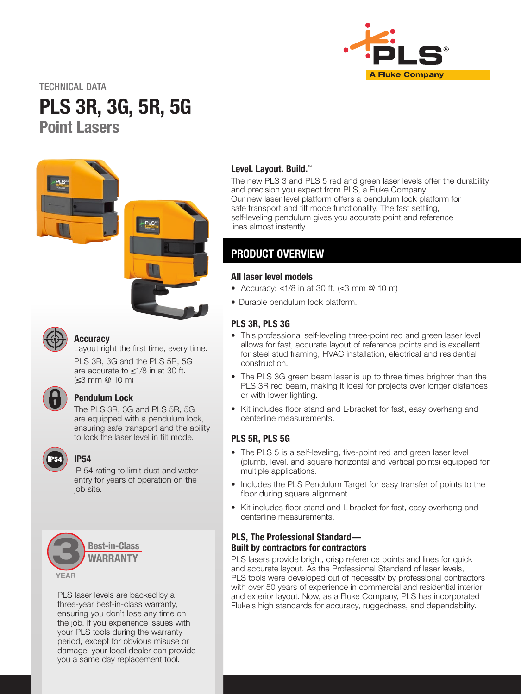

TECHNICAL DATA

# PLS 3R, 3G, 5R, 5G Point Lasers





#### **Accuracy**

Layout right the first time, every time.

PLS 3R, 3G and the PLS 5R, 5G are accurate to ≤1/8 in at 30 ft. (≤3 mm @ 10 m)

# Pendulum Lock

The PLS 3R, 3G and PLS 5R, 5G are equipped with a pendulum lock, ensuring safe transport and the ability to lock the laser level in tilt mode.



### IP54

IP 54 rating to limit dust and water entry for years of operation on the job site.



PLS laser levels are backed by a three-year best-in-class warranty, ensuring you don't lose any time on the job. If you experience issues with your PLS tools during the warranty period, except for obvious misuse or damage, your local dealer can provide you a same day replacement tool.

#### Level. Layout. Build.<sup>™</sup>

The new PLS 3 and PLS 5 red and green laser levels offer the durability and precision you expect from PLS, a Fluke Company. Our new laser level platform offers a pendulum lock platform for safe transport and tilt mode functionality. The fast settling, self-leveling pendulum gives you accurate point and reference lines almost instantly.

# PRODUCT OVERVIEW

#### All laser level models

- Accuracy: ≤1/8 in at 30 ft. (≤3 mm @ 10 m)
- Durable pendulum lock platform.

#### PLS 3R, PLS 3G

- This professional self-leveling three-point red and green laser level allows for fast, accurate layout of reference points and is excellent for steel stud framing, HVAC installation, electrical and residential construction.
- The PLS 3G green beam laser is up to three times brighter than the PLS 3R red beam, making it ideal for projects over longer distances or with lower lighting.
- Kit includes floor stand and L-bracket for fast, easy overhang and centerline measurements.

#### PLS 5R, PLS 5G

- The PLS 5 is a self-leveling, five-point red and green laser level (plumb, level, and square horizontal and vertical points) equipped for multiple applications.
- Includes the PLS Pendulum Target for easy transfer of points to the floor during square alignment.
- Kit includes floor stand and L-bracket for fast, easy overhang and centerline measurements.

#### PLS, The Professional Standard— Built by contractors for contractors

PLS lasers provide bright, crisp reference points and lines for quick and accurate layout. As the Professional Standard of laser levels, PLS tools were developed out of necessity by professional contractors with over 50 years of experience in commercial and residential interior and exterior layout. Now, as a Fluke Company, PLS has incorporated Fluke's high standards for accuracy, ruggedness, and dependability.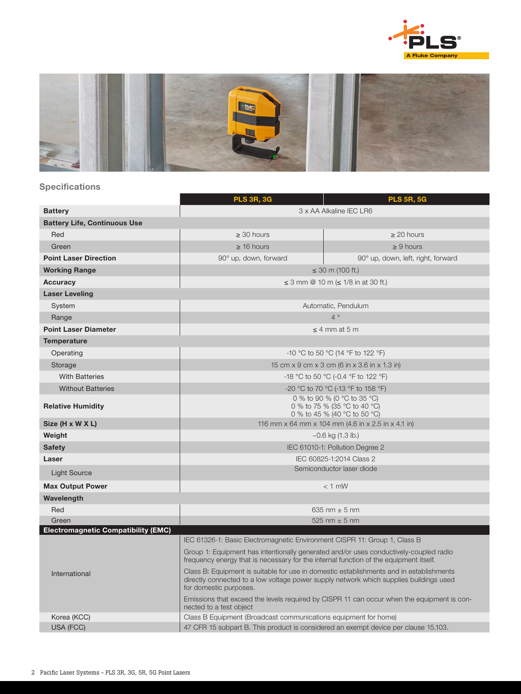



## Specifications

|                                            | <b>PLS 3R, 3G</b>                                                                                                                                                                                           | <b>PLS 5R, 5G</b>                  |  |
|--------------------------------------------|-------------------------------------------------------------------------------------------------------------------------------------------------------------------------------------------------------------|------------------------------------|--|
| <b>Battery</b>                             | 3 x AA Alkaline IEC LR6                                                                                                                                                                                     |                                    |  |
| <b>Battery Life, Continuous Use</b>        |                                                                                                                                                                                                             |                                    |  |
| Red                                        | $\geq 30$ hours                                                                                                                                                                                             | $\geq$ 20 hours                    |  |
| Green                                      | $\geq$ 16 hours                                                                                                                                                                                             | $\geq 9$ hours                     |  |
| <b>Point Laser Direction</b>               | 90° up, down, forward                                                                                                                                                                                       | 90° up, down, left, right, forward |  |
| <b>Working Range</b>                       | $\leq$ 30 m (100 ft.)                                                                                                                                                                                       |                                    |  |
| <b>Accuracy</b>                            | ≤ 3 mm @ 10 m (≤ 1/8 in at 30 ft.)                                                                                                                                                                          |                                    |  |
| <b>Laser Leveling</b>                      |                                                                                                                                                                                                             |                                    |  |
| System                                     | Automatic, Pendulum                                                                                                                                                                                         |                                    |  |
| Range                                      | $4^{\circ}$                                                                                                                                                                                                 |                                    |  |
| <b>Point Laser Diameter</b>                | $\leq$ 4 mm at 5 m                                                                                                                                                                                          |                                    |  |
| <b>Temperature</b>                         |                                                                                                                                                                                                             |                                    |  |
| Operating                                  | -10 °C to 50 °C (14 °F to 122 °F)                                                                                                                                                                           |                                    |  |
| Storage                                    | 15 cm x 9 cm x 3 cm (6 in x 3.6 in x 1.3 in)                                                                                                                                                                |                                    |  |
| <b>With Batteries</b>                      | -18 °C to 50 °C (-0.4 °F to 122 °F)                                                                                                                                                                         |                                    |  |
| <b>Without Batteries</b>                   | -20 °C to 70 °C (-13 °F to 158 °F)                                                                                                                                                                          |                                    |  |
| <b>Relative Humidity</b>                   | 0 % to 90 % (0 °C to 35 °C)<br>0 % to 75 % (35 °C to 40 °C)<br>0 % to 45 % (40 °C to 50 °C)                                                                                                                 |                                    |  |
| Size (H x W X L)                           | 116 mm x 64 mm x 104 mm (4.6 in x 2.5 in x 4.1 in)                                                                                                                                                          |                                    |  |
| Weight                                     | $\sim$ 0.6 kg (1.3 lb.)                                                                                                                                                                                     |                                    |  |
| <b>Safety</b>                              | IEC 61010-1: Pollution Degree 2                                                                                                                                                                             |                                    |  |
| Laser                                      | IEC 60825-1:2014 Class 2                                                                                                                                                                                    |                                    |  |
| <b>Light Source</b>                        | Semiconductor laser diode                                                                                                                                                                                   |                                    |  |
| <b>Max Output Power</b>                    | $<$ 1 mW                                                                                                                                                                                                    |                                    |  |
| Wavelength                                 |                                                                                                                                                                                                             |                                    |  |
| Red                                        | 635 nm $\pm$ 5 nm                                                                                                                                                                                           |                                    |  |
| Green                                      | 525 nm $\pm$ 5 nm                                                                                                                                                                                           |                                    |  |
| <b>Electromagnetic Compatibility (EMC)</b> | IEC 61326-1: Basic Electromagnetic Environment CISPR 11: Group 1, Class B                                                                                                                                   |                                    |  |
|                                            | Group 1: Equipment has intentionally generated and/or uses conductively-coupled radio                                                                                                                       |                                    |  |
|                                            | frequency energy that is necessary for the internal function of the equipment itself.                                                                                                                       |                                    |  |
| International                              | Class B: Equipment is suitable for use in domestic establishments and in establishments<br>directly connected to a low voltage power supply network which supplies buildings used<br>for domestic purposes. |                                    |  |
|                                            | Emissions that exceed the levels required by CISPR 11 can occur when the equipment is con-<br>nected to a test object                                                                                       |                                    |  |
| Korea (KCC)                                | Class B Equipment (Broadcast communications equipment for home)                                                                                                                                             |                                    |  |
| <b>USA (FCC)</b>                           | 47 CFR 15 subpart B. This product is considered an exempt device per clause 15.103.                                                                                                                         |                                    |  |